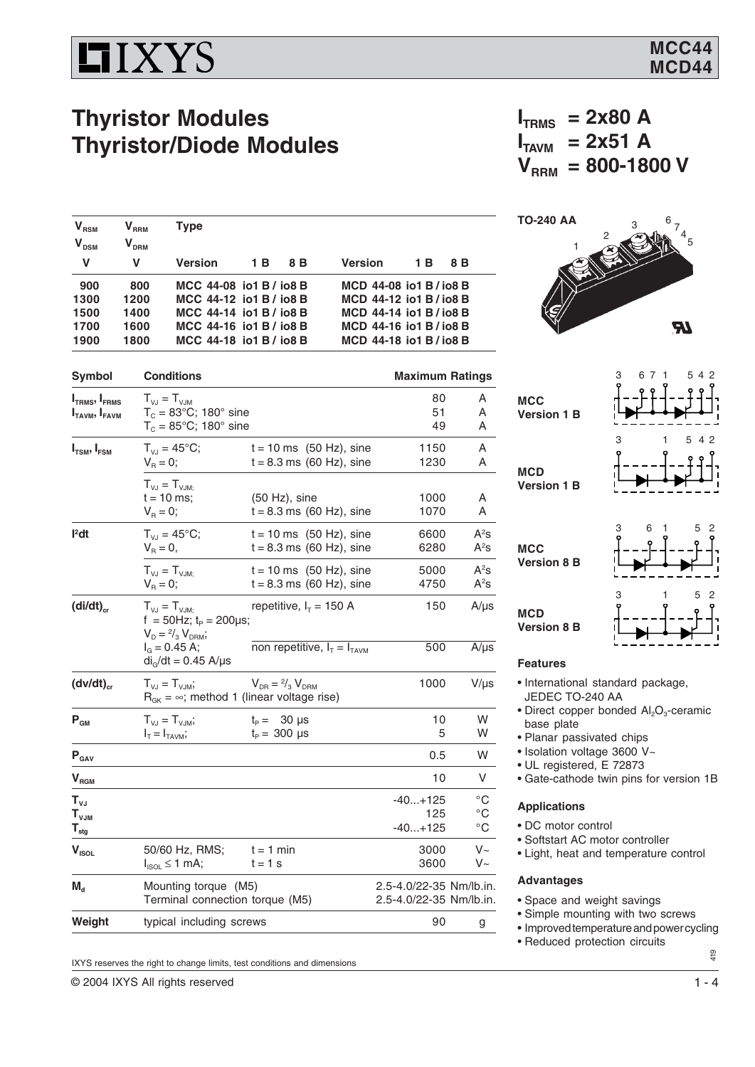# **HIXYS**

 $V_{RSM}$   $V_{RRM}$  Type

 $V_{DSM}$   $V_{DRM}$ 

### **Thyristor Modules Thyristor/Diode Modules**

 $T_c = 85^{\circ}$ C; 180° sine

**1300 1200 MCC 44-12 io1 B / io8 B MCD 44-12 io1 B / io8 B**

**1900 1800 MCC 44-18 io1 B / io8 B MCD 44-18 io1 B / io8 B**

 $f = 50$ Hz;  $t_P = 200 \mu s$ ;

 $R_{GK} = \infty$ ; method 1 (linear voltage rise)

 $V_{D} = \frac{2}{3} V_{D R M}$ ;

 $(dv/dt)_{cr}$   $T_{VJ} = T_{VJM}$ ;

 $di<sub>g</sub>/dt = 0.45$  A/ $\mu$ s

 $T_{VJ} = T_{VJM}$ ;<br>t = 10 ms:

**I 2**

**Symbol Conditions Maximum Ratings** 

**V V Version 1 B 8 B Version 1 B 8 B**

 **900 800 MCC 44-08 io1 B / io8 B MCD 44-08 io1 B / io8 B**

**1500 1400 MCC 44-14 io1 B / io8 B MCD 44-14 io1 B / io8 B 1700 1600 MCC 44-16 io1 B / io8 B MCD 44-16 io1 B / io8 B**

**I** T<sub>ri</sub> and  $T_{\text{VJ}} = T_{\text{VJM}}$  and  $T_{\text{C}} = 83^{\circ}\text{C}$ ; 180° sine and  $T_{\text{S}} = 83^{\circ}\text{C}$ ; 180° sine and  $T_{\text{S}} = 83^{\circ}\text{C}$ ; 180° sine and  $T_{\text{S}} = 80^{\circ}\text{C}$  $I_{\text{FAVM}}$ ,  $I_{\text{FAVM}}$   $T_{\text{C}} = 83^{\circ}\text{C}$ ; 180° sine 51 A<br> $T_{\text{C}} = 85^{\circ}\text{C}$ : 180° sine 51 A

**I<sub>TSM</sub>, I<sub>FSM</sub>**  $T_{VJ} = 45^{\circ}$ C; t = 10 ms (50 Hz), sine 1150 A<br>V<sub>R</sub> = 0; t = 8.3 ms (60 Hz), sine 1230 A

 $t = 8.3$  ms (60 Hz), sine

t = 10 ms; (50 Hz), sine 1000 A<br>  $V_R = 0$ ; t = 8.3 ms (60 Hz), sine 1070 A

 $t = 8.3$  ms (60 Hz), sine

 $t = 8.3$  ms (60 Hz), sine

 $I_G = 0.45$  A; non repetitive,  $I_T = I_{TAVM}$  500 A/µs

 $T_{VJ} = 45^{\circ}$ C; t = 10 ms (50 Hz), sine 6600<br>  $V_B = 0$ , t = 8.3 ms (60 Hz), sine 6280

 $T_{V,J} = T_{V,JM;}$  t = 10 ms (50 Hz), sine 5000<br>  $V_B = 0$ ; t = 8.3 ms (60 Hz), sine 4750

 $\left(\text{di/dt}\right)_{\text{cr}}$   $T_{\text{VJ}} = T_{\text{VJM}}$ ; repetitive,  $I_T = 150 \text{ A}$  150 A/µs

**P<sub>GM</sub>**  $T_{VJ} = T_{VJM}$ ;  $t_P = 30 \text{ }\mu\text{s}$  10 W<br> $I_T = I_{TAVM}$ ;  $t_P = 300 \text{ }\mu\text{s}$  5 W  $t_P = 300 \text{ }\mu\text{s}$  $P_{\text{GAV}}$  0.5 W  $V_{\text{RGM}}$  10 V  $\mathsf{T}_{\mathsf{VJ}}$  -40...+125  $^\circ\mathsf{C}$  $\mathsf{T}_{\mathsf{VJM}}$  125  $^\circ \mathsf{C}$  $\mathsf{T}_{\mathsf{stg}}$  -40...+125  $^\circ\mathsf{C}$ 

 $V_{\text{ISOL}}$  50/60 Hz, RMS; t = 1 min 3000 V~<br> $V_{\text{ISOL}}$  50/60 Hz, RMS; t = 1 s 3600 V~  $I_{ISOL} \le 1$  mA; t = 1 s 3600

**M<sub>d</sub>** Mounting torque (M5) <br>Terminal connection torque (M5) <br>2.5-4.0/22-35 Nm/lb.in.

**Weight** typical including screws **90** g

 $t = 8.3$  ms (60 Hz), sine 1070 A

 $V_{DR} = \frac{2}{3} V_{DRM}$  1000 V/µs

 $I_{\text{TRMS}}$  = 2x80 A  $I_{TANM}$  = 2x51 A  $V_{\text{RRM}} = 800 - 1800 \text{ V}$ 



| <b>MCC</b><br><b>Version 1 B</b> | 3 | 6 7 1 | 5 4 2 |                |
|----------------------------------|---|-------|-------|----------------|
| <b>MCD</b><br><b>Version 1 B</b> | 3 |       | 5 4 2 |                |
|                                  | 3 | 6     | 5     | $\overline{c}$ |

**MCC Version 8 B**

 $A^2s$ 

 $A^2s$ 

 $A^2S$ 

 $A^2s$ 



#### **Features**

**MCD Version 8 B**

- International standard package, JEDEC TO-240 AA
- Direct copper bonded  $Al_2O_3$ -ceramic base plate
- Planar passivated chips
- Isolation voltage 3600 V~
- UL registered, E 72873
- Gate-cathode twin pins for version 1B

#### **Applications**

- DC motor control
- Softstart AC motor controller
- Light, heat and temperature control

### **Advantages**

- Space and weight savings
- Simple mounting with two screws
- Improved temperature and power cycling
- Reduced protection circuits
- 419

IXYS reserves the right to change limits, test conditions and dimensions

Terminal connection torque (M5).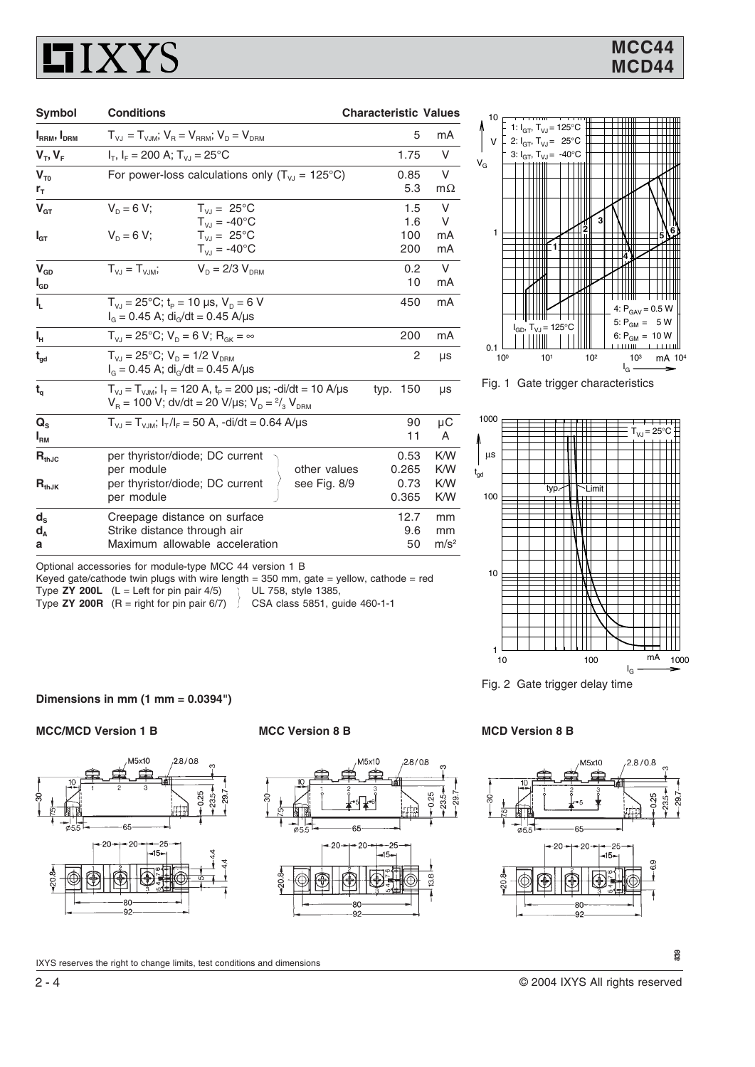## **LIXYS**

| Symbol                      | <b>Conditions</b>                                                                                                                   | <b>Characteristic Values</b> |                         |
|-----------------------------|-------------------------------------------------------------------------------------------------------------------------------------|------------------------------|-------------------------|
| $I_{RRM}$ , $I_{DRM}$       | $T_{V,1} = T_{V,1M}$ ; $V_B = V_{BBM}$ ; $V_D = V_{DBM}$                                                                            | 5                            | mA                      |
| $V_T, V_F$                  | $I_T$ , $I_F = 200$ A; $T_{VJ} = 25$ °C                                                                                             | 1.75                         | V                       |
| $V_{\tau_0}$                | For power-loss calculations only $(T_{v,j} = 125^{\circ}C)$                                                                         | 0.85                         | V                       |
| r <sub>T</sub>              |                                                                                                                                     | 5.3                          | $m\Omega$               |
| $V_{GT}$                    | $V_0 = 6 V$ :<br>$T_{V1} = 25^{\circ}C$<br>$T_{V,I} = -40^{\circ}C$                                                                 | 1.5<br>1.6                   | V<br>V                  |
| $I_{GT}$                    | $T_{V1} = 25^{\circ}C$<br>$V_p = 6 V;$<br>$T_{V1} = -40^{\circ}C$                                                                   | 100<br>200                   | mA<br>mA                |
| $V_{GD}$<br>l <sub>GD</sub> | $V_{D} = 2/3 V_{DPM}$<br>$T_{V1} = T_{V1M}$                                                                                         | 0.2<br>10                    | $\vee$<br>mA            |
| I,                          | $T_{V1}$ = 25°C; t <sub>p</sub> = 10 µs, $V_{D}$ = 6 V<br>$I_G = 0.45$ A; di <sub>G</sub> /dt = 0.45 A/µs                           | 450                          | mA                      |
| ı,                          | $T_{V_1}$ = 25°C; $V_p$ = 6 V; $R_{GK}$ = $\infty$                                                                                  | 200                          | mA                      |
| $t_{\text{gd}}$             | $T_{V1} = 25^{\circ}C$ ; $V_D = 1/2$ $V_{DBM}$<br>$I_{G} = 0.45$ A; di <sub>G</sub> /dt = 0.45 A/µs                                 | 2                            | μs                      |
| $t_{\rm q}$                 | $T_{VJ} = T_{VJM}$ ; $I_T = 120$ A, $t_P = 200$ µs; -di/dt = 10 A/µs<br>$V_B$ = 100 V; dv/dt = 20 V/µs; $V_D = \frac{2}{3} V_{DBM}$ | 150<br>typ.                  | μs                      |
| $Q_{\rm s}$<br>$I_{\rm RM}$ | $T_{V,I} = T_{V,IM}$ ; $I_T/I_F = 50$ A, -di/dt = 0.64 A/µs                                                                         | 90<br>11                     | μC<br>A                 |
| $\mathbf{R}_{\text{thJC}}$  | per thyristor/diode; DC current<br>other values<br>per module                                                                       | 0.53<br>0.265                | <b>K/W</b><br><b>KW</b> |
| $R_{thJK}$                  | per thyristor/diode; DC current<br>see Fig. 8/9<br>per module                                                                       | 0.73<br>0.365                | <b>KW</b><br>K/W        |
| $d_{s}$<br>$d_{A}$          | Creepage distance on surface<br>Strike distance through air                                                                         | 12.7<br>9.6                  | mm<br>mm                |
| а                           | Maximum allowable acceleration                                                                                                      | 50                           | m/s <sup>2</sup>        |

Keyed gate/cathode twin plugs with wire length = 350 mm, gate = yellow, cathode = red Type **ZY 200L** (L = Left for pin pair 4/5) UL 758, style 1385,<br>Type **ZY 200R** (R = right for pin pair 6/7) CSA class 5851, guide 460-1-1



Fig. 1 Gate trigger characteristics



Fig. 2 Gate trigger delay time

**Dimensions in mm (1 mm = 0.0394")**

Type **ZY 200R**  $(R = right for pin pair  $6/7$ )$ 

#### **MCC/MCD Version 1 B MCC Version 8 B MCD Version 8 B**







IXYS reserves the right to change limits, test conditions and dimensions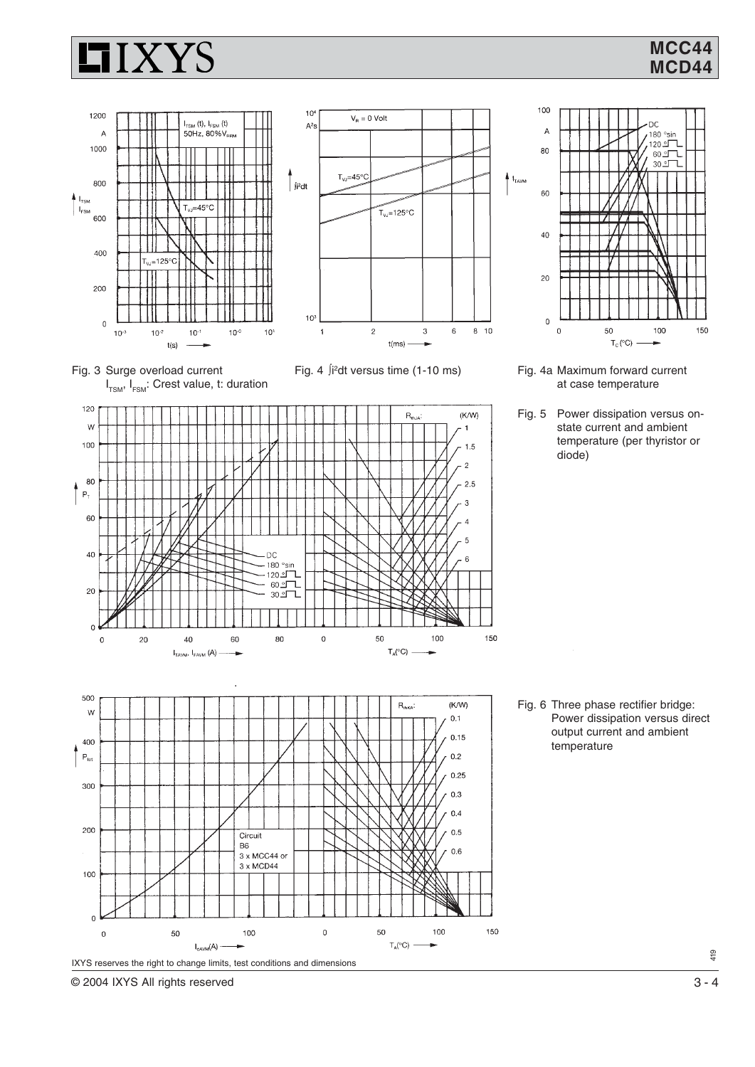





Fig. 4 ∫i 2





Fig. 5 Power dissipation versus onstate current and ambient temperature (per thyristor or diode)



Fig. 6 Three phase rectifier bridge: Power dissipation versus direct output current and ambient temperature



l,

419

© 2004 IXYS All rights reserved 3 - 4